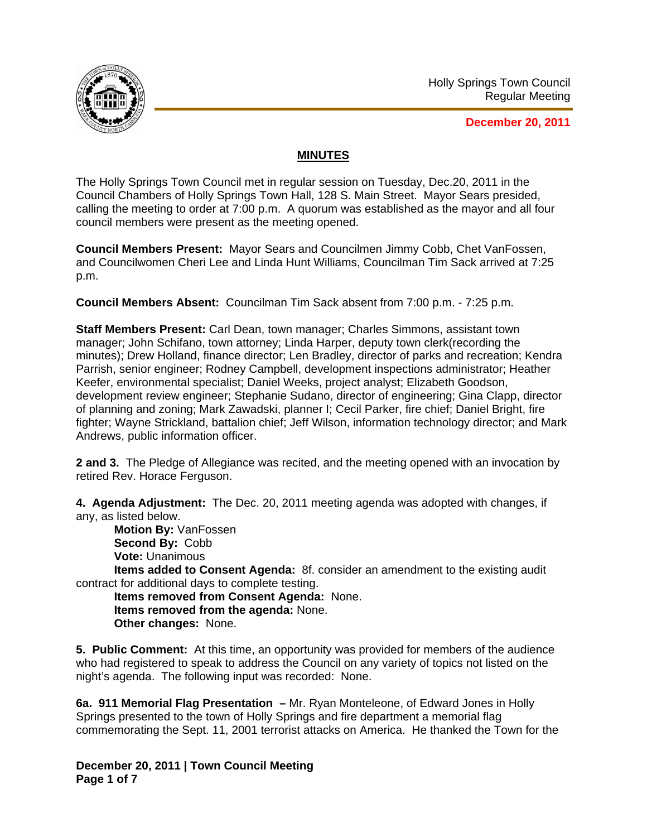

**December 20, 2011**

## **MINUTES**

The Holly Springs Town Council met in regular session on Tuesday, Dec.20, 2011 in the Council Chambers of Holly Springs Town Hall, 128 S. Main Street. Mayor Sears presided, calling the meeting to order at 7:00 p.m. A quorum was established as the mayor and all four council members were present as the meeting opened.

**Council Members Present:** Mayor Sears and Councilmen Jimmy Cobb, Chet VanFossen, and Councilwomen Cheri Lee and Linda Hunt Williams, Councilman Tim Sack arrived at 7:25 p.m.

**Council Members Absent:** Councilman Tim Sack absent from 7:00 p.m. - 7:25 p.m.

**Staff Members Present:** Carl Dean, town manager; Charles Simmons, assistant town manager; John Schifano, town attorney; Linda Harper, deputy town clerk(recording the minutes); Drew Holland, finance director; Len Bradley, director of parks and recreation; Kendra Parrish, senior engineer; Rodney Campbell, development inspections administrator; Heather Keefer, environmental specialist; Daniel Weeks, project analyst; Elizabeth Goodson, development review engineer; Stephanie Sudano, director of engineering; Gina Clapp, director of planning and zoning; Mark Zawadski, planner I; Cecil Parker, fire chief; Daniel Bright, fire fighter; Wayne Strickland, battalion chief; Jeff Wilson, information technology director; and Mark Andrews, public information officer.

**2 and 3.** The Pledge of Allegiance was recited, and the meeting opened with an invocation by retired Rev. Horace Ferguson.

**4. Agenda Adjustment:** The Dec. 20, 2011 meeting agenda was adopted with changes, if any, as listed below.

**Motion By:** VanFossen **Second By:** Cobb **Vote:** Unanimous

**Items added to Consent Agenda:** 8f. consider an amendment to the existing audit contract for additional days to complete testing.

**Items removed from Consent Agenda:** None. **Items removed from the agenda:** None. **Other changes:** None.

**5. Public Comment:** At this time, an opportunity was provided for members of the audience who had registered to speak to address the Council on any variety of topics not listed on the night's agenda. The following input was recorded: None.

**6a. 911 Memorial Flag Presentation –** Mr. Ryan Monteleone, of Edward Jones in Holly Springs presented to the town of Holly Springs and fire department a memorial flag commemorating the Sept. 11, 2001 terrorist attacks on America. He thanked the Town for the

**December 20, 2011 | Town Council Meeting Page 1 of 7**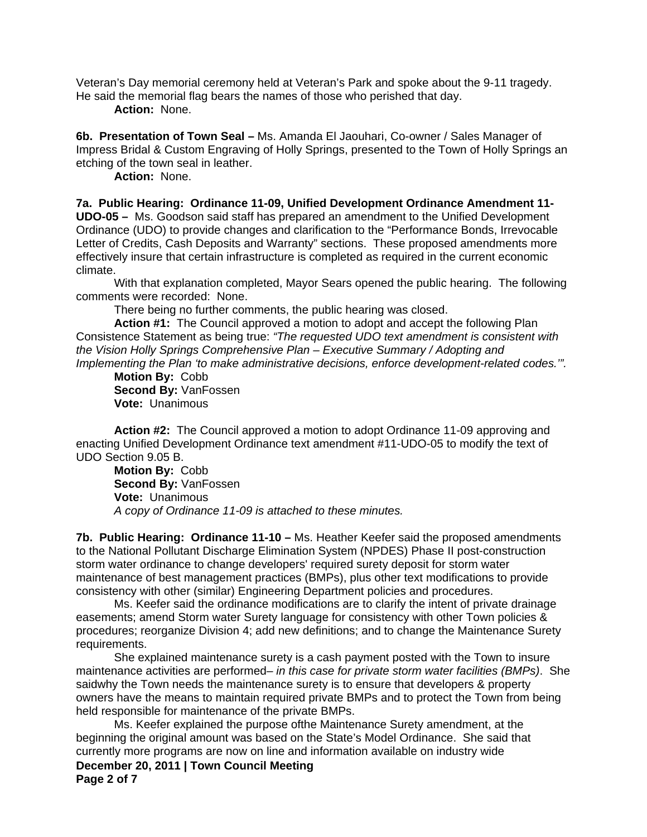Veteran's Day memorial ceremony held at Veteran's Park and spoke about the 9-11 tragedy. He said the memorial flag bears the names of those who perished that day.

 **Action:** None.

**6b. Presentation of Town Seal –** Ms. Amanda El Jaouhari, Co-owner / Sales Manager of Impress Bridal & Custom Engraving of Holly Springs, presented to the Town of Holly Springs an etching of the town seal in leather.

 **Action:** None.

**7a. Public Hearing: Ordinance 11-09, Unified Development Ordinance Amendment 11- UDO-05 –** Ms. Goodson said staff has prepared an amendment to the Unified Development Ordinance (UDO) to provide changes and clarification to the "Performance Bonds, Irrevocable Letter of Credits, Cash Deposits and Warranty" sections. These proposed amendments more effectively insure that certain infrastructure is completed as required in the current economic climate.

With that explanation completed, Mayor Sears opened the public hearing. The following comments were recorded: None.

There being no further comments, the public hearing was closed.

**Action #1:** The Council approved a motion to adopt and accept the following Plan Consistence Statement as being true: *"The requested UDO text amendment is consistent with the Vision Holly Springs Comprehensive Plan – Executive Summary / Adopting and Implementing the Plan 'to make administrative decisions, enforce development-related codes.'".* 

**Motion By:** Cobb **Second By:** VanFossen **Vote:** Unanimous

 **Action #2:** The Council approved a motion to adopt Ordinance 11-09 approving and enacting Unified Development Ordinance text amendment #11-UDO-05 to modify the text of UDO Section 9.05 B.

**Motion By:** Cobb **Second By:** VanFossen **Vote:** Unanimous *A copy of Ordinance 11-09 is attached to these minutes.*

**7b. Public Hearing: Ordinance 11-10 –** Ms. Heather Keefer said the proposed amendments to the National Pollutant Discharge Elimination System (NPDES) Phase II post-construction storm water ordinance to change developers' required surety deposit for storm water maintenance of best management practices (BMPs), plus other text modifications to provide consistency with other (similar) Engineering Department policies and procedures.

Ms. Keefer said the ordinance modifications are to clarify the intent of private drainage easements; amend Storm water Surety language for consistency with other Town policies & procedures; reorganize Division 4; add new definitions; and to change the Maintenance Surety requirements.

 She explained maintenance surety is a cash payment posted with the Town to insure maintenance activities are performed*– in this case for private storm water facilities (BMPs)*. She saidwhy the Town needs the maintenance surety is to ensure that developers & property owners have the means to maintain required private BMPs and to protect the Town from being held responsible for maintenance of the private BMPs.

 Ms. Keefer explained the purpose ofthe Maintenance Surety amendment, at the beginning the original amount was based on the State's Model Ordinance. She said that currently more programs are now on line and information available on industry wide

**December 20, 2011 | Town Council Meeting Page 2 of 7**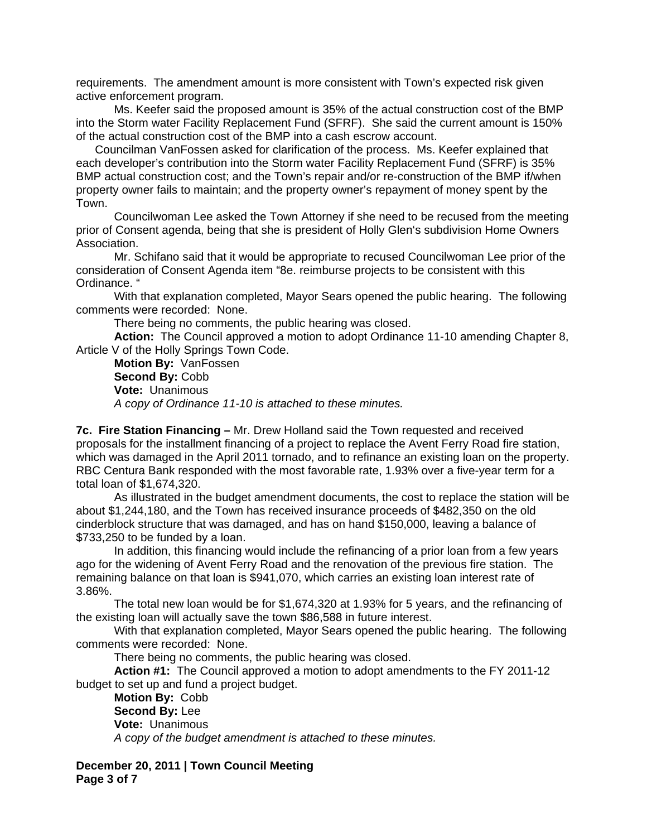requirements. The amendment amount is more consistent with Town's expected risk given active enforcement program.

 Ms. Keefer said the proposed amount is 35% of the actual construction cost of the BMP into the Storm water Facility Replacement Fund (SFRF). She said the current amount is 150% of the actual construction cost of the BMP into a cash escrow account.

Councilman VanFossen asked for clarification of the process. Ms. Keefer explained that each developer's contribution into the Storm water Facility Replacement Fund (SFRF) is 35% BMP actual construction cost; and the Town's repair and/or re-construction of the BMP if/when property owner fails to maintain; and the property owner's repayment of money spent by the Town.

Councilwoman Lee asked the Town Attorney if she need to be recused from the meeting prior of Consent agenda, being that she is president of Holly Glen's subdivision Home Owners Association.

Mr. Schifano said that it would be appropriate to recused Councilwoman Lee prior of the consideration of Consent Agenda item "8e. reimburse projects to be consistent with this Ordinance. "

With that explanation completed, Mayor Sears opened the public hearing. The following comments were recorded: None.

There being no comments, the public hearing was closed.

**Action:** The Council approved a motion to adopt Ordinance 11-10 amending Chapter 8, Article V of the Holly Springs Town Code.

**Motion By:** VanFossen **Second By:** Cobb **Vote:** Unanimous *A copy of Ordinance 11-10 is attached to these minutes.*

**7c. Fire Station Financing –** Mr. Drew Holland said the Town requested and received proposals for the installment financing of a project to replace the Avent Ferry Road fire station, which was damaged in the April 2011 tornado, and to refinance an existing loan on the property. RBC Centura Bank responded with the most favorable rate, 1.93% over a five-year term for a total loan of \$1,674,320.

 As illustrated in the budget amendment documents, the cost to replace the station will be about \$1,244,180, and the Town has received insurance proceeds of \$482,350 on the old cinderblock structure that was damaged, and has on hand \$150,000, leaving a balance of \$733,250 to be funded by a loan.

 In addition, this financing would include the refinancing of a prior loan from a few years ago for the widening of Avent Ferry Road and the renovation of the previous fire station. The remaining balance on that loan is \$941,070, which carries an existing loan interest rate of 3.86%.

 The total new loan would be for \$1,674,320 at 1.93% for 5 years, and the refinancing of the existing loan will actually save the town \$86,588 in future interest.

With that explanation completed, Mayor Sears opened the public hearing. The following comments were recorded: None.

There being no comments, the public hearing was closed.

**Action #1:** The Council approved a motion to adopt amendments to the FY 2011-12 budget to set up and fund a project budget.

**Motion By:** Cobb **Second By:** Lee **Vote:** Unanimous *A copy of the budget amendment is attached to these minutes.*

**December 20, 2011 | Town Council Meeting Page 3 of 7**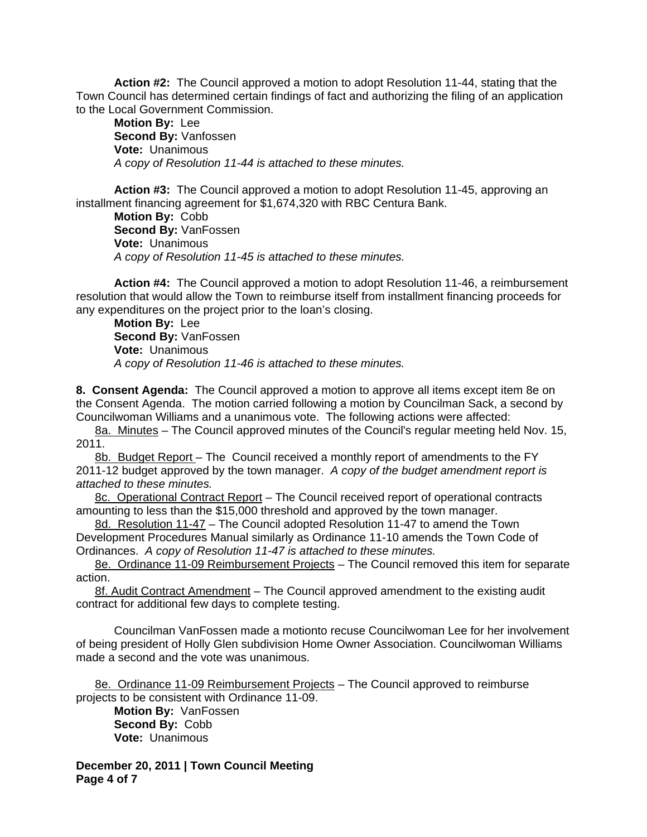**Action #2:** The Council approved a motion to adopt Resolution 11-44, stating that the Town Council has determined certain findings of fact and authorizing the filing of an application to the Local Government Commission.

**Motion By:** Lee **Second By:** Vanfossen **Vote:** Unanimous *A copy of Resolution 11-44 is attached to these minutes.*

**Action #3:** The Council approved a motion to adopt Resolution 11-45, approving an installment financing agreement for \$1,674,320 with RBC Centura Bank.

**Motion By:** Cobb **Second By:** VanFossen **Vote:** Unanimous *A copy of Resolution 11-45 is attached to these minutes.*

**Action #4:** The Council approved a motion to adopt Resolution 11-46, a reimbursement resolution that would allow the Town to reimburse itself from installment financing proceeds for any expenditures on the project prior to the loan's closing.

**Motion By:** Lee **Second By:** VanFossen **Vote:** Unanimous *A copy of Resolution 11-46 is attached to these minutes.*

**8. Consent Agenda:** The Council approved a motion to approve all items except item 8e on the Consent Agenda. The motion carried following a motion by Councilman Sack, a second by Councilwoman Williams and a unanimous vote. The following actions were affected:

8a. Minutes – The Council approved minutes of the Council's regular meeting held Nov. 15, 2011.

8b. Budget Report – The Council received a monthly report of amendments to the FY 2011-12 budget approved by the town manager. *A copy of the budget amendment report is attached to these minutes.*

8c. Operational Contract Report - The Council received report of operational contracts amounting to less than the \$15,000 threshold and approved by the town manager.

8d. Resolution 11-47 – The Council adopted Resolution 11-47 to amend the Town Development Procedures Manual similarly as Ordinance 11-10 amends the Town Code of Ordinances. *A copy of Resolution 11-47 is attached to these minutes.*

8e. Ordinance 11-09 Reimbursement Projects - The Council removed this item for separate action.

8f. Audit Contract Amendment – The Council approved amendment to the existing audit contract for additional few days to complete testing.

Councilman VanFossen made a motionto recuse Councilwoman Lee for her involvement of being president of Holly Glen subdivision Home Owner Association. Councilwoman Williams made a second and the vote was unanimous.

8e. Ordinance 11-09 Reimbursement Projects – The Council approved to reimburse projects to be consistent with Ordinance 11-09.

**Motion By:** VanFossen **Second By:** Cobb **Vote:** Unanimous

**December 20, 2011 | Town Council Meeting Page 4 of 7**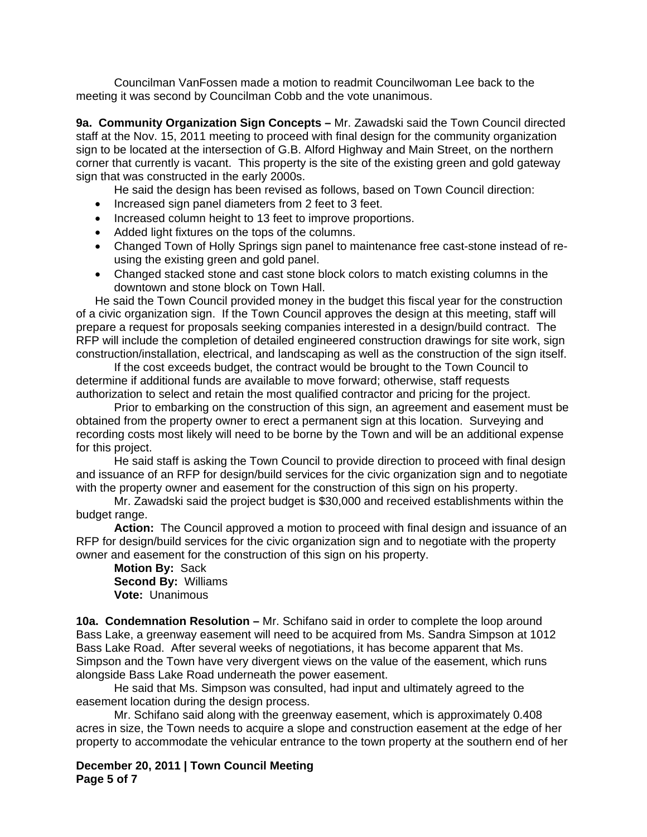Councilman VanFossen made a motion to readmit Councilwoman Lee back to the meeting it was second by Councilman Cobb and the vote unanimous.

**9a. Community Organization Sign Concepts –** Mr. Zawadski said the Town Council directed staff at the Nov. 15, 2011 meeting to proceed with final design for the community organization sign to be located at the intersection of G.B. Alford Highway and Main Street, on the northern corner that currently is vacant. This property is the site of the existing green and gold gateway sign that was constructed in the early 2000s.

He said the design has been revised as follows, based on Town Council direction:

- Increased sign panel diameters from 2 feet to 3 feet.
- Increased column height to 13 feet to improve proportions.
- Added light fixtures on the tops of the columns.
- Changed Town of Holly Springs sign panel to maintenance free cast-stone instead of reusing the existing green and gold panel.
- Changed stacked stone and cast stone block colors to match existing columns in the downtown and stone block on Town Hall.

He said the Town Council provided money in the budget this fiscal year for the construction of a civic organization sign. If the Town Council approves the design at this meeting, staff will prepare a request for proposals seeking companies interested in a design/build contract. The RFP will include the completion of detailed engineered construction drawings for site work, sign construction/installation, electrical, and landscaping as well as the construction of the sign itself.

 If the cost exceeds budget, the contract would be brought to the Town Council to determine if additional funds are available to move forward; otherwise, staff requests authorization to select and retain the most qualified contractor and pricing for the project.

 Prior to embarking on the construction of this sign, an agreement and easement must be obtained from the property owner to erect a permanent sign at this location. Surveying and recording costs most likely will need to be borne by the Town and will be an additional expense for this project.

He said staff is asking the Town Council to provide direction to proceed with final design and issuance of an RFP for design/build services for the civic organization sign and to negotiate with the property owner and easement for the construction of this sign on his property.

 Mr. Zawadski said the project budget is \$30,000 and received establishments within the budget range.

**Action:** The Council approved a motion to proceed with final design and issuance of an RFP for design/build services for the civic organization sign and to negotiate with the property owner and easement for the construction of this sign on his property.

**Motion By:** Sack  **Second By:** Williams  **Vote:** Unanimous

**10a. Condemnation Resolution –** Mr. Schifano said in order to complete the loop around Bass Lake, a greenway easement will need to be acquired from Ms. Sandra Simpson at 1012 Bass Lake Road. After several weeks of negotiations, it has become apparent that Ms. Simpson and the Town have very divergent views on the value of the easement, which runs alongside Bass Lake Road underneath the power easement.

 He said that Ms. Simpson was consulted, had input and ultimately agreed to the easement location during the design process.

Mr. Schifano said along with the greenway easement, which is approximately 0.408 acres in size, the Town needs to acquire a slope and construction easement at the edge of her property to accommodate the vehicular entrance to the town property at the southern end of her

**December 20, 2011 | Town Council Meeting Page 5 of 7**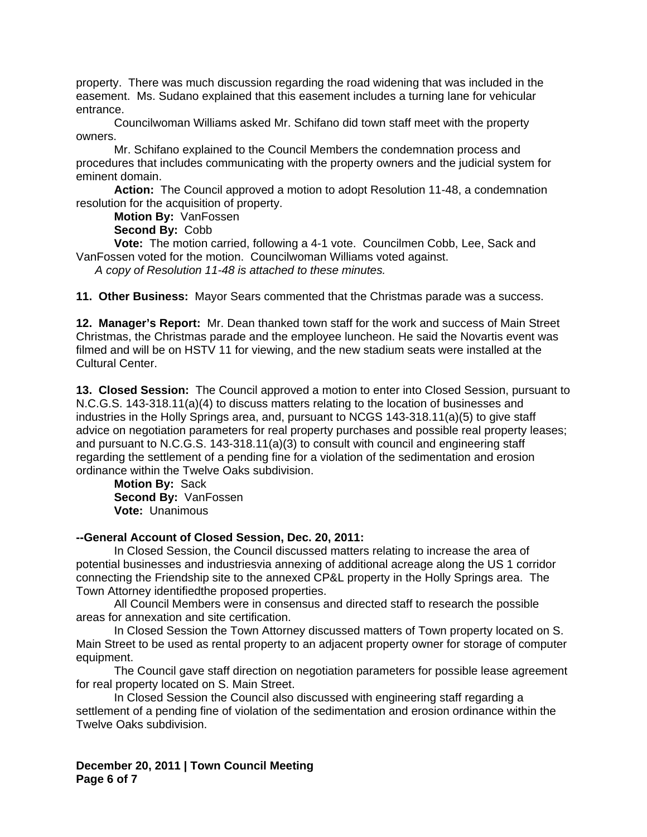property. There was much discussion regarding the road widening that was included in the easement. Ms. Sudano explained that this easement includes a turning lane for vehicular entrance.

Councilwoman Williams asked Mr. Schifano did town staff meet with the property owners.

Mr. Schifano explained to the Council Members the condemnation process and procedures that includes communicating with the property owners and the judicial system for eminent domain.

**Action:** The Council approved a motion to adopt Resolution 11-48, a condemnation resolution for the acquisition of property.

**Motion By:** VanFossen  **Second By:** Cobb

 **Vote:** The motion carried, following a 4-1 vote. Councilmen Cobb, Lee, Sack and VanFossen voted for the motion. Councilwoman Williams voted against.

*A copy of Resolution 11-48 is attached to these minutes.* 

**11. Other Business:** Mayor Sears commented that the Christmas parade was a success.

**12. Manager's Report:** Mr. Dean thanked town staff for the work and success of Main Street Christmas, the Christmas parade and the employee luncheon. He said the Novartis event was filmed and will be on HSTV 11 for viewing, and the new stadium seats were installed at the Cultural Center.

**13. Closed Session:** The Council approved a motion to enter into Closed Session, pursuant to N.C.G.S. 143-318.11(a)(4) to discuss matters relating to the location of businesses and industries in the Holly Springs area, and, pursuant to NCGS 143-318.11(a)(5) to give staff advice on negotiation parameters for real property purchases and possible real property leases; and pursuant to N.C.G.S. 143-318.11(a)(3) to consult with council and engineering staff regarding the settlement of a pending fine for a violation of the sedimentation and erosion ordinance within the Twelve Oaks subdivision.

**Motion By:** Sack **Second By:** VanFossen **Vote:** Unanimous

## **--General Account of Closed Session, Dec. 20, 2011:**

 In Closed Session, the Council discussed matters relating to increase the area of potential businesses and industriesvia annexing of additional acreage along the US 1 corridor connecting the Friendship site to the annexed CP&L property in the Holly Springs area. The Town Attorney identifiedthe proposed properties.

 All Council Members were in consensus and directed staff to research the possible areas for annexation and site certification.

 In Closed Session the Town Attorney discussed matters of Town property located on S. Main Street to be used as rental property to an adjacent property owner for storage of computer equipment.

The Council gave staff direction on negotiation parameters for possible lease agreement for real property located on S. Main Street.

 In Closed Session the Council also discussed with engineering staff regarding a settlement of a pending fine of violation of the sedimentation and erosion ordinance within the Twelve Oaks subdivision.